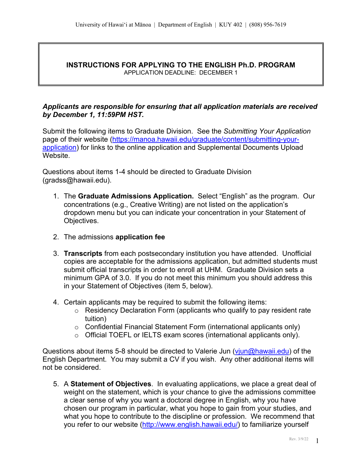#### **INSTRUCTIONS FOR APPLYING TO THE ENGLISH Ph.D. PROGRAM** APPLICATION DEADLINE: DECEMBER 1

# *Applicants are responsible for ensuring that all application materials are received by December 1, 11:59PM HST.*

Submit the following items to Graduate Division. See the *Submitting Your Application*  page of their website (https://manoa.hawaii.edu/graduate/content/submitting-yourapplication) for links to the online application and Supplemental Documents Upload Website.

Questions about items 1-4 should be directed to Graduate Division (gradss@hawaii.edu).

- 1. The **Graduate Admissions Application.** Select "English" as the program. Our concentrations (e.g., Creative Writing) are not listed on the application's dropdown menu but you can indicate your concentration in your Statement of Objectives.
- 2. The admissions **application fee**
- 3. **Transcripts** from each postsecondary institution you have attended. Unofficial copies are acceptable for the admissions application, but admitted students must submit official transcripts in order to enroll at UHM. Graduate Division sets a minimum GPA of 3.0. If you do not meet this minimum you should address this in your Statement of Objectives (item 5, below).
- 4. Certain applicants may be required to submit the following items:
	- $\circ$  Residency Declaration Form (applicants who qualify to pay resident rate tuition)
	- o Confidential Financial Statement Form (international applicants only)
	- o Official TOEFL or IELTS exam scores (international applicants only).

Questions about items 5-8 should be directed to Valerie Jun (viun@hawaii.edu) of the English Department. You may submit a CV if you wish. Any other additional items will not be considered.

5. A **Statement of Objectives**. In evaluating applications, we place a great deal of weight on the statement, which is your chance to give the admissions committee a clear sense of why you want a doctoral degree in English, why you have chosen our program in particular, what you hope to gain from your studies, and what you hope to contribute to the discipline or profession. We recommend that you refer to our website (http://www.english.hawaii.edu/) to familiarize yourself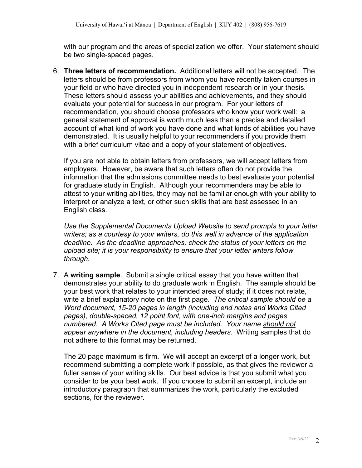with our program and the areas of specialization we offer. Your statement should be two single-spaced pages.

6. **Three letters of recommendation.** Additional letters will not be accepted. The letters should be from professors from whom you have recently taken courses in your field or who have directed you in independent research or in your thesis. These letters should assess your abilities and achievements, and they should evaluate your potential for success in our program. For your letters of recommendation, you should choose professors who know your work well: a general statement of approval is worth much less than a precise and detailed account of what kind of work you have done and what kinds of abilities you have demonstrated. It is usually helpful to your recommenders if you provide them with a brief curriculum vitae and a copy of your statement of objectives.

If you are not able to obtain letters from professors, we will accept letters from employers. However, be aware that such letters often do not provide the information that the admissions committee needs to best evaluate your potential for graduate study in English. Although your recommenders may be able to attest to your writing abilities, they may not be familiar enough with your ability to interpret or analyze a text, or other such skills that are best assessed in an English class.

*Use the Supplemental Documents Upload Website to send prompts to your letter writers; as a courtesy to your writers, do this well in advance of the application deadline. As the deadline approaches, check the status of your letters on the upload site; it is your responsibility to ensure that your letter writers follow through.*

7. A **writing sample**. Submit a single critical essay that you have written that demonstrates your ability to do graduate work in English. The sample should be your best work that relates to your intended area of study; if it does not relate, write a brief explanatory note on the first page. *The critical sample should be a Word document, 15-20 pages in length (including end notes and Works Cited pages), double-spaced, 12 point font, with one-inch margins and pages numbered. A Works Cited page must be included. Your name should not appear anywhere in the document, including headers.* Writing samples that do not adhere to this format may be returned.

The 20 page maximum is firm. We will accept an excerpt of a longer work, but recommend submitting a complete work if possible, as that gives the reviewer a fuller sense of your writing skills. Our best advice is that you submit what you consider to be your best work. If you choose to submit an excerpt, include an introductory paragraph that summarizes the work, particularly the excluded sections, for the reviewer.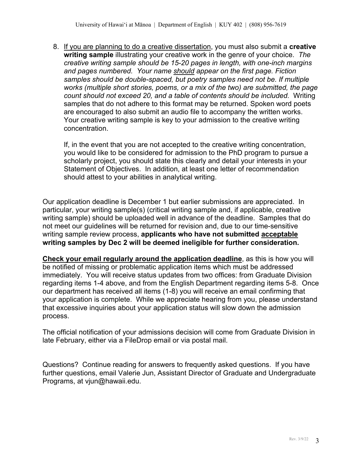8. If you are planning to do a creative dissertation, you must also submit a **creative writing sample** illustrating your creative work in the genre of your choice. *The creative writing sample should be 15-20 pages in length, with one-inch margins and pages numbered. Your name should appear on the first page. Fiction samples should be double-spaced, but poetry samples need not be. If multiple works (multiple short stories, poems, or a mix of the two) are submitted, the page count should not exceed 20, and a table of contents should be included.* Writing samples that do not adhere to this format may be returned. Spoken word poets are encouraged to also submit an audio file to accompany the written works. Your creative writing sample is key to your admission to the creative writing concentration.

If, in the event that you are not accepted to the creative writing concentration, you would like to be considered for admission to the PhD program to pursue a scholarly project, you should state this clearly and detail your interests in your Statement of Objectives. In addition, at least one letter of recommendation should attest to your abilities in analytical writing.

Our application deadline is December 1 but earlier submissions are appreciated. In particular, your writing sample(s) (critical writing sample and, if applicable, creative writing sample) should be uploaded well in advance of the deadline. Samples that do not meet our guidelines will be returned for revision and, due to our time-sensitive writing sample review process, **applicants who have not submitted acceptable writing samples by Dec 2 will be deemed ineligible for further consideration.**

**Check your email regularly around the application deadline**, as this is how you will be notified of missing or problematic application items which must be addressed immediately. You will receive status updates from two offices: from Graduate Division regarding items 1-4 above, and from the English Department regarding items 5-8. Once our department has received all items (1-8) you will receive an email confirming that your application is complete. While we appreciate hearing from you, please understand that excessive inquiries about your application status will slow down the admission process.

The official notification of your admissions decision will come from Graduate Division in late February, either via a FileDrop email or via postal mail.

Questions? Continue reading for answers to frequently asked questions. If you have further questions, email Valerie Jun, Assistant Director of Graduate and Undergraduate Programs, at vjun@hawaii.edu.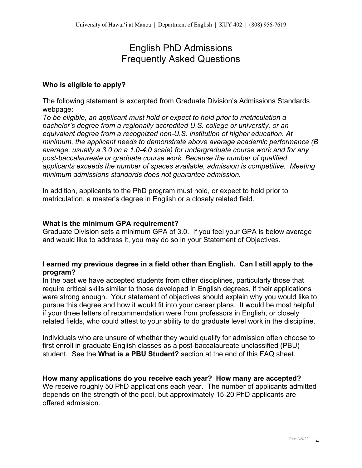# English PhD Admissions Frequently Asked Questions

## **Who is eligible to apply?**

The following statement is excerpted from Graduate Division's Admissions Standards webpage:

*To be eligible, an applicant must hold or expect to hold prior to matriculation a bachelor's degree from a regionally accredited U.S. college or university, or an equivalent degree from a recognized non-U.S. institution of higher education. At minimum, the applicant needs to demonstrate above average academic performance (B average, usually a 3.0 on a 1.0-4.0 scale) for undergraduate course work and for any post-baccalaureate or graduate course work. Because the number of qualified applicants exceeds the number of spaces available, admission is competitive. Meeting minimum admissions standards does not guarantee admission.*

In addition, applicants to the PhD program must hold, or expect to hold prior to matriculation, a master's degree in English or a closely related field.

### **What is the minimum GPA requirement?**

Graduate Division sets a minimum GPA of 3.0. If you feel your GPA is below average and would like to address it, you may do so in your Statement of Objectives.

# **I earned my previous degree in a field other than English. Can I still apply to the program?**

In the past we have accepted students from other disciplines, particularly those that require critical skills similar to those developed in English degrees, if their applications were strong enough. Your statement of objectives should explain why you would like to pursue this degree and how it would fit into your career plans. It would be most helpful if your three letters of recommendation were from professors in English, or closely related fields, who could attest to your ability to do graduate level work in the discipline.

Individuals who are unsure of whether they would qualify for admission often choose to first enroll in graduate English classes as a post-baccalaureate unclassified (PBU) student. See the **What is a PBU Student?** section at the end of this FAQ sheet.

### **How many applications do you receive each year? How many are accepted?**

We receive roughly 50 PhD applications each year. The number of applicants admitted depends on the strength of the pool, but approximately 15-20 PhD applicants are offered admission.